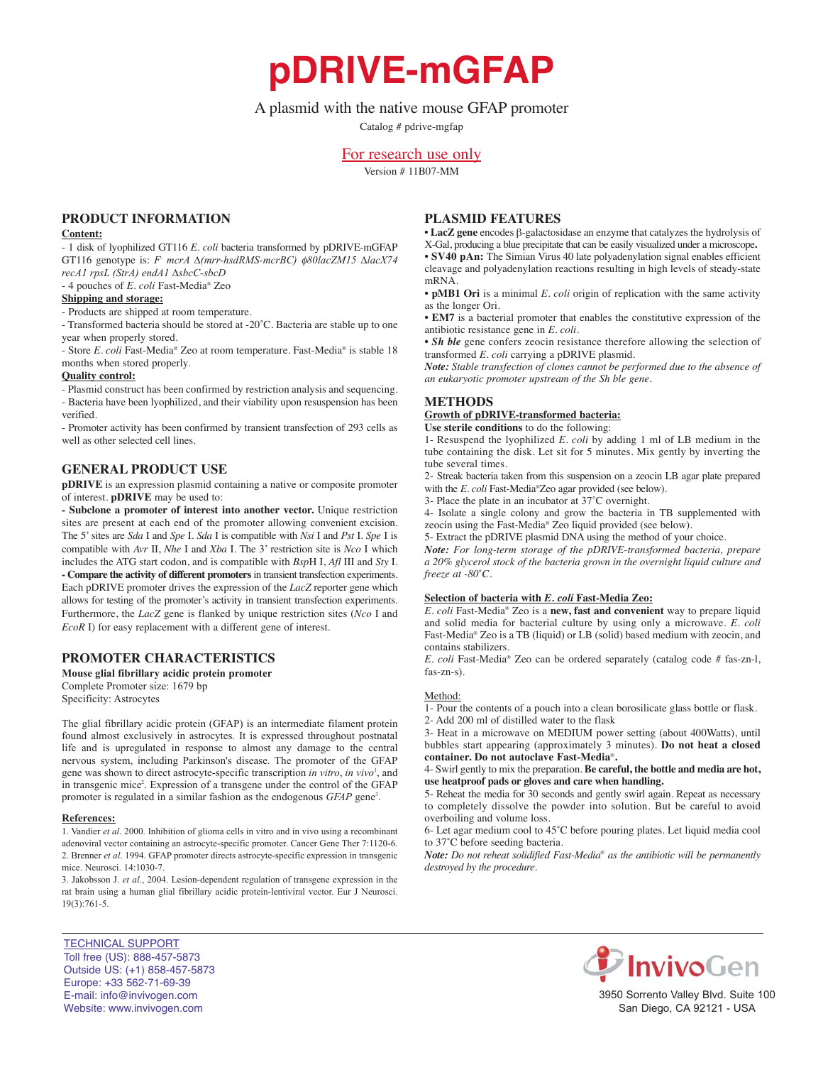**pDRIVE-mGFAP**

# A plasmid with the native mouse GFAP promoter

Catalog # pdrive-mgfap

# For research use only

Version # 11B07-MM

## **PrOduct infOrmatiOn**

### **content:**

- 1 disk of lyophilized GT116 *E. coli* bacteria transformed by pDRIVE-mGFAP GT116 genotype is: *F- mcrA ∆(mrr-hsdRMS-mcrBC)*  $\phi$ 80lacZM15 ∆lacX74 *recA1 rpsL (StrA) endA1 ∆sbcC-sbcD*

- 4 pouches of *E. coli* Fast-Media® Zeo

# **shipping and storage:**

- Products are shipped at room temperature.

- Transformed bacteria should be stored at -20˚C. Bacteria are stable up to one year when properly stored.

- Store *E. coli* Fast-Media® Zeo at room temperature. Fast-Media® is stable 18 months when stored properly.

### **Quality control:**

- Plasmid construct has been confirmed by restriction analysis and sequencing. - Bacteria have been lyophilized, and their viability upon resuspension has been verified.

- Promoter activity has been confirmed by transient transfection of 293 cells as well as other selected cell lines.

## **General PrOduct use**

**pDRIVE** is an expression plasmid containing a native or composite promoter of interest. **pDRIVE** may be used to:

**- subclone a promoter of interest into another vector.** Unique restriction sites are present at each end of the promoter allowing convenient excision. The 5' sites are *Sda* I and *Spe* I. *Sda* I is compatible with *Nsi* I and *Pst* I. *Spe* I is compatible with *Avr* II, *Nhe* I and *Xba* I. The 3' restriction site is *Nco* I which includes the ATG start codon, and is compatible with *Bsp*H I, *Afl* III and *Sty* I. **- compare the activity of different promoters**in transient transfection experiments. Each pDRIVE promoter drives the expression of the *LacZ* reporter gene which allows for testing of the promoter's activity in transient transfection experiments. Furthermore, the *LacZ* gene is flanked by unique restriction sites (*Nco* I and *EcoR* I) for easy replacement with a different gene of interest.

## **PrOmOter characteristics**

**Mouse glial fibrillary acidic protein promoter** Complete Promoter size: 1679 bp Specificity: Astrocytes

The glial fibrillary acidic protein (GFAP) is an intermediate filament protein found almost exclusively in astrocytes. It is expressed throughout postnatal life and is upregulated in response to almost any damage to the central nervous system, including Parkinson's disease. The promoter of the GFAP gene was shown to direct astrocyte-specific transcription *in vitro*, *in vivo*<sup>1</sup> , and in transgenic mice<sup>2</sup>. Expression of a transgene under the control of the GFAP promoter is regulated in a similar fashion as the endogenous *GFAP* gene<sup>3</sup>.

### **References:**

1. Vandier *et al*. 2000. Inhibition of glioma cells in vitro and in vivo using a recombinant adenoviral vector containing an astrocyte-specific promoter. Cancer Gene Ther 7:1120-6. 2. Brenner *et al*. 1994. GFAP promoter directs astrocyte-specific expression in transgenic mice. Neurosci. 14:1030-7.

3. Jakobsson J. *et al*., 2004. Lesion-dependent regulation of transgene expression in the rat brain using a human glial fibrillary acidic protein-lentiviral vector. Eur J Neurosci. 19(3):761-5.

# **Plasmid features**

• **lacZ gene** encodes β-galactosidase an enzyme that catalyzes the hydrolysis of X-Gal, producing a blue precipitate that can be easily visualized under a microscope**.** • **sV40 pan:** The Simian Virus 40 late polyadenylation signal enables efficient cleavage and polyadenylation reactions resulting in high levels of steady-state mRNA.

• **pMB1 Ori** is a minimal *E. coli* origin of replication with the same activity as the longer Ori.

• **em7** is a bacterial promoter that enables the constitutive expression of the antibiotic resistance gene in *E. coli.*

• *Sh ble* gene confers zeocin resistance therefore allowing the selection of transformed *E. coli* carrying a pDRIVE plasmid.

*Note: Stable transfection of clones cannot be performed due to the absence of an eukaryotic promoter upstream of the Sh ble gene.*

## **METHODS**

**Growth of pDRIVE-transformed bacteria:** 

**use sterile conditions** to do the following:

1- Resuspend the lyophilized *E. coli* by adding 1 ml of LB medium in the tube containing the disk. Let sit for 5 minutes. Mix gently by inverting the tube several times.

2- Streak bacteria taken from this suspension on a zeocin LB agar plate prepared with the *E. coli* Fast-Media®Zeo agar provided (see below).

3- Place the plate in an incubator at 37˚C overnight.

4- Isolate a single colony and grow the bacteria in TB supplemented with zeocin using the Fast-Media® Zeo liquid provided (see below).

5- Extract the pDRIVE plasmid DNA using the method of your choice.

*Note: For long-term storage of the pDRIVE-transformed bacteria, prepare a 20% glycerol stock of the bacteria grown in the overnight liquid culture and freeze at -80˚C.*

## **selection of bacteria with** *E. coli* **fast-media Zeo:**

*E. coli* Fast-Media® Zeo is a **new, fast and convenient** way to prepare liquid and solid media for bacterial culture by using only a microwave. *E. coli* Fast-Media® Zeo is a TB (liquid) or LB (solid) based medium with zeocin, and contains stabilizers.

*E. coli* Fast-Media® Zeo can be ordered separately (catalog code # fas-zn-l, fas-zn-s).

### Method:

1- Pour the contents of a pouch into a clean borosilicate glass bottle or flask.

2- Add 200 ml of distilled water to the flask

3- Heat in a microwave on MEDIUM power setting (about 400Watts), until bubbles start appearing (approximately 3 minutes). **Do not heat a closed container. do not autoclave fast-media**®**.**

4- Swirl gently to mix the preparation. **Be careful, the bottle and media are hot, use heatproof pads or gloves and care when handling.**

5- Reheat the media for 30 seconds and gently swirl again. Repeat as necessary to completely dissolve the powder into solution. But be careful to avoid overboiling and volume loss.

6- Let agar medium cool to 45˚C before pouring plates. Let liquid media cool to 37˚C before seeding bacteria.

*Note: Do not reheat solidified Fast-Media*® *as the antibiotic will be permanently destroyed by the procedure.*



InvivoGen

3950 Sorrento Valley Blvd. Suite 100 San Diego, CA 92121 - USA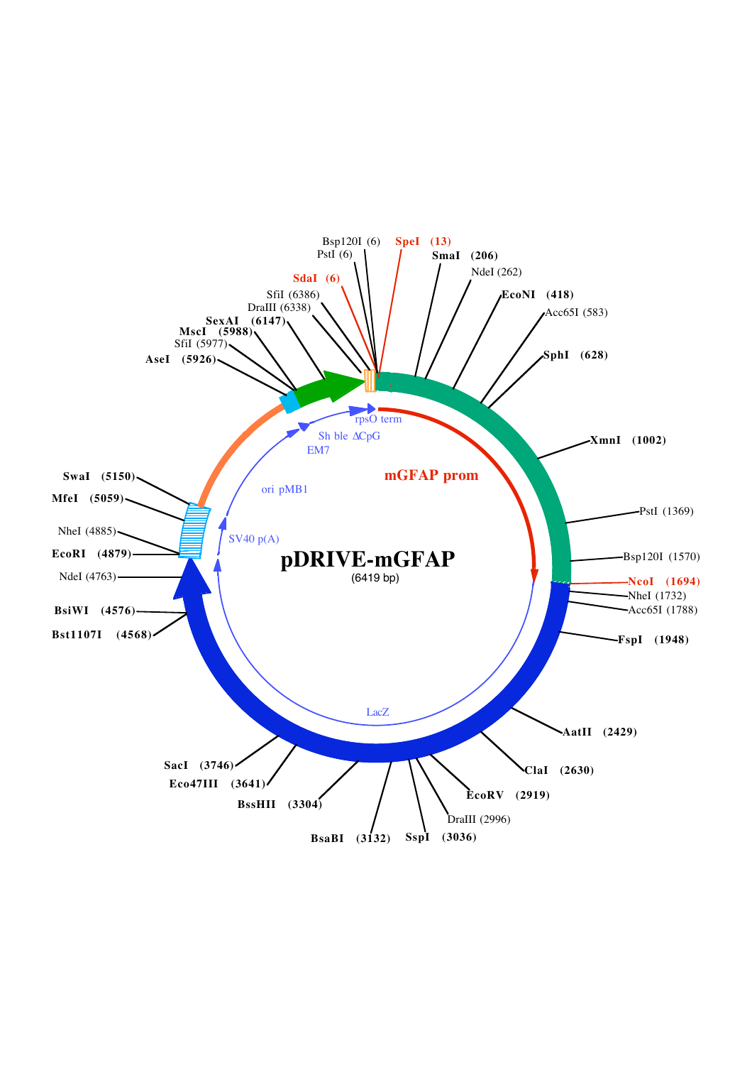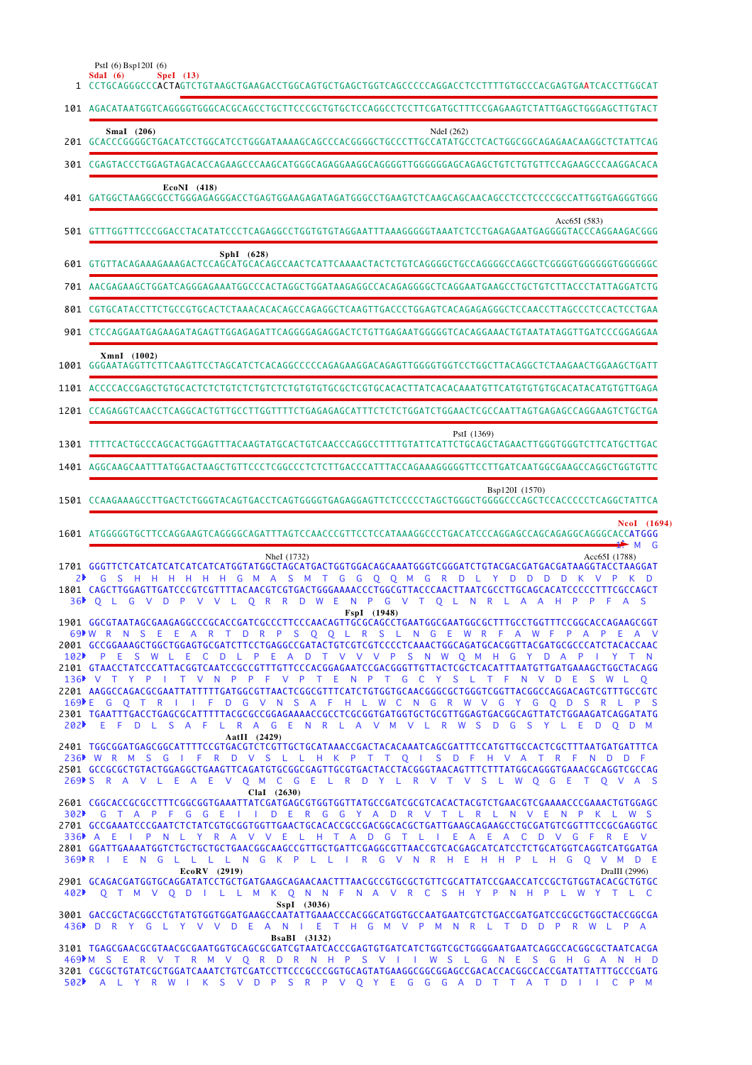|           | 1 CCTGCAGGGCCC <b>ACTA</b> GTCTGTAAGCTGAAGACCTGGCAGTGCTGAGCTGGTCAGCCCCCAGGACCTCCTTTTGTGCCCACGAGTGA <b>A</b> TCACCTTGGCAT                                                                                                                                                                                                                                                                                                                                                                             |
|-----------|------------------------------------------------------------------------------------------------------------------------------------------------------------------------------------------------------------------------------------------------------------------------------------------------------------------------------------------------------------------------------------------------------------------------------------------------------------------------------------------------------|
|           | 101 AGACATAATGGTCAGGGGTGGGCACGCAGCCTGCTTCCCGCTGTGCTCCAGGCCTCCTTCGATGCTTTCCGAGAAGTCTATTGAGCTGGGAGCTTGTACT                                                                                                                                                                                                                                                                                                                                                                                             |
|           | SmaI (206)<br>NdeI (262)<br>201 GCACCCGGGGCTGACATCCTGGCATCCTGGGATAAAAGCAGCCCACGGGGCTGCCCTTGCCATATGCCTCACTGGCGGCAGAGAACAAGGCTCTATTCAG                                                                                                                                                                                                                                                                                                                                                                 |
|           |                                                                                                                                                                                                                                                                                                                                                                                                                                                                                                      |
|           | $EcoNI$ (418)                                                                                                                                                                                                                                                                                                                                                                                                                                                                                        |
|           | Acc65I (583)<br>501 GTTTGGTTTCCCGGACCTACATATCCCTCAGAGGCCTGGTGTGTAGGAATTTAAAGGGGGTAAATCTCCTGAGAGAATGAGGGGTACCCAGGAAGACGGG                                                                                                                                                                                                                                                                                                                                                                             |
|           | $SphI$ (628)<br>601 GTGTTACAGAAAGAAAGACTCCAGCATGCACAGCCAACTCATTCAAAACTACTCTGTCAGGGGCTGCCAGGGGCCAGGCTCGGGGTGGGGGTGGGGGCC                                                                                                                                                                                                                                                                                                                                                                              |
|           | 701 AACGAGAAGCTGGATCAGGGAGAAATGGCCCACTAGGCTGGATAAGAGGCCACAGAGGGGCTCAGGAATGAAGCCTGCTGTCTTACCCTATTAGGATCTG                                                                                                                                                                                                                                                                                                                                                                                             |
|           | 801 CGTGCATACCTTCTGCCGTGCACTCTAAACACACAGGCCAGAGGCTCAAGTTGACCCTGGAGTCACAGAGAGGGCTCCAACCTTAGCCCTCCACTCCTGAA                                                                                                                                                                                                                                                                                                                                                                                            |
|           | 901 CTCCAGGAATGAGAAGATAGAGTTGGAGAGATTCAGGGGAGAGGACTCTGTTGAGAATGGGGGTCACAGGAAACTGTAATATAGGTTGATCCCGGAGGAA                                                                                                                                                                                                                                                                                                                                                                                             |
|           | XmnI (1002)<br>1001 GGGAATAGGTTCTTCAAGTTCCTAGCATCTCACAGGCCCCCAGAGAAGGACAGAGTTGGGGTGGTCCTGGCTTACAGGCTCTAAGAACTGGAAGCTGATT                                                                                                                                                                                                                                                                                                                                                                             |
|           |                                                                                                                                                                                                                                                                                                                                                                                                                                                                                                      |
|           | 1201 CCAGAGGTCAACCTCAGGCACTGTTGCCTTGGTTTTCTGAGAGAGCATTTCTCTCTGGATCTGGAACTCGCCAATTAGTGAGAGCCAGGAAGTCTGCTGA                                                                                                                                                                                                                                                                                                                                                                                            |
|           | PstI (1369)                                                                                                                                                                                                                                                                                                                                                                                                                                                                                          |
|           | 1401 AGGCAAGCAATTTATGGACTAAGCTGTTCCCTCGGCCCTCTCTTGACCCATTTACCAGAAAGGGGGTTCCTTGATCAATGGCGAAGCCAGGCTGGTGTTC                                                                                                                                                                                                                                                                                                                                                                                            |
|           | Bsp120I (1570)<br>1501 CCAAGAAAGCCTTGACTCTGGGTACAGTGACCTCAGTGGGGTGAGAGGAGTTCTCCCCCTAGCTGGGCTGGGCCCAGCTCCACCCCCTCAGGCTATTCA                                                                                                                                                                                                                                                                                                                                                                           |
|           |                                                                                                                                                                                                                                                                                                                                                                                                                                                                                                      |
|           | NcoI (1694)                                                                                                                                                                                                                                                                                                                                                                                                                                                                                          |
|           | ∯≻M G<br>NheI (1732)<br>Acc65I (1788)<br>1701 GGGTTCTCATCATCATCATCATCATGGTATGGCTAGCATGACTGGTGGACAGCAAATGGGTCGGGATCTGTACGACGATGACGATAAGGTACCTAAGGAT                                                                                                                                                                                                                                                                                                                                                   |
| 2▶<br>36▶ | G S H H H H H H G M A S M T G G Q Q M G R D L Y D D D D K V P K D<br>1801 CAGCTTGGAGTTGATCCCGTCGTTTTACAACGTCGTGACTGGGAAAACCCTGGCGTTACCCAACTTAATCGCCTTGCAGCACATCCCCCTTTCGCCAGCT<br>O R R D W E N P G V T O L N R L<br>$\mathbf{O}$<br>- L.<br>G<br>V D P V V L<br>A A<br>H.<br><b>P</b><br>P<br>-F.<br>$\Delta$<br><sub>S</sub>                                                                                                                                                                       |
|           | FspI (1948)<br>1901 GGCGTAATAGCGAAGAGGCCCGCACCGATCGCCCTTCCCAACAGTTGCGCAGCCTGAATGGCGAATGGCGCTTTGCCTGGTTTCCGGCACCAGAAGCGGT<br>69 W R N S E E A R T D R P S Q Q L R S L N G E W R F A W F<br>P A P E A V<br>2001 GCCGGAAAGCTGGCTGGAGTGCGATCTTCCTGAGGCCGATACTGTCGTCGTCCCCTCAAACTGGCAGATGCACGGTTACGATGCCCCCATCTACACCAAC<br>102 PESWLECDLPEADTVVVPSNWQMHGYDAPIYTN                                                                                                                                          |
|           | 2101 GTAACCTATCCCATTACGGTCAATCCGCCGTTTGTTCCCACGGAGAATCCGACGGGTTGTTACTCGCTCACATTTAATGTTGATGAAAGCTGGCTACAGG<br>136 V T Y P I T V N P P F V P T E N P T G C Y S L T F N V D E S W L Q<br>2201 AAGGCCAGACGCGAATTATTTTTGATGGCGTTAACTCGGCGTTTCATCTGTGGTGCAACGGGCGCTGGGTCGGTTACGGCCAGGACAGTCGTTTGCCGTC<br>169▶E G O T R I I F D G V N S A F H L W C N G R W V G Y G O D S R L P S<br>2301 TGAATTTGACCTGAGCGCATTTTTACGCGCCGGAGAAAACCGCCTCGCGGTGATGGTGCTGCGTTGGAGTGACGGCAGTTATCTGGAAGATCAGGATATG              |
|           | 202▶ E F D L S A F L R A G E N R L A V M V L R W S D G S Y L E D O D M<br>AatII $(2429)$<br>2401 TGGCGGATGAGCGGCATTTTCCGTGACGTCTCGTTGCTGCATAAACCGACTACACAAATCAGCGATTTCCATGTTGCCACTCGCTTTAATGATGATTTCA<br>236 W R M S G I F R D V S L L H K P T T O I S D F H V A T R F N D D F                                                                                                                                                                                                                       |
|           | 269 SRAVLEAE V Q M C G E L R D Y L R V T V S L W Q G E T Q V A S<br>ClaI (2630)                                                                                                                                                                                                                                                                                                                                                                                                                      |
|           | 2601 CGGCACCGCGCCTTTCGGCGGTGAAATTATCGATGAGCGTGGTGGTTATGCCGATCGCGTCACACTACGTCTGAACGTCGAAAACCCGAAACTGTGGAGC<br>302 CTAPFGGEIIDERGGYADRVTLRLNVENPKLWS<br>2701 GCCGAAATCCCGAATCTCTATCGTGCGGTGGTTGAACTGCACACCGCCGACGGCACGCTGATTGAAGCAGAAGCCTGCGATGTCGGTTTCCGCGAGGTGC<br>336 A E I P N L Y R A V V E L H T A D G T L I E A E A C D V G F R E V<br>2801 GGATTGAAAATGGTCTGCTGCTGCTGAACGGCAAGCCGTTGCTGATTCGAGGCGTTAACCGTCACGAGCATCATCCTCTGCATGGTCAGGTCATGGATGATGA<br>369 PRIENGLLLLNGK PLLIRGVNRHEHHPLHGQVMDE |
|           | EcoRV (2919)<br>DraIII (2996)<br>2901 GCAGACGATGGTGCAGGATATCCTGCTGATGAAGCAGAACAACTTTAACGCCGTGCGCTGTTCGCATTATCCGAACCATCCGCTGTGGTACACGCTGTGC<br>402 Q T M V Q D I L L M K Q N N F N A V R C S H Y P N H P L W Y T L C<br>SspI (3036)                                                                                                                                                                                                                                                                   |
|           | 3001 GACCGCTACGGCCTGTATGTGGTGGATGAAGCCAATATTGAAACCCACGGCATGGTGCCAATGAATCGTCTGACCGATGATCCGCGCTGGCTACCGGCGA<br>436▶ D R Y G L Y V V D E A N I E T H G M V P M N R L T D D P R W L P A<br><b>BsaBI</b> (3132)                                                                                                                                                                                                                                                                                           |

**SdaI (6)**

PstI (6) Bsp120I (6)

**SpeI (13)**

CGCGCTGTATCGCTGGATCAAATCTGTCGATCCTTCCCGCCCGGTGCAGTATGAAGGCGGCGGAGCCGACACCACGGCCACCGATATTATTTGCCCGATG A L Y R W I K S V D P S R P V Q Y E G G G A D T T A T D I I C P M 3201 502